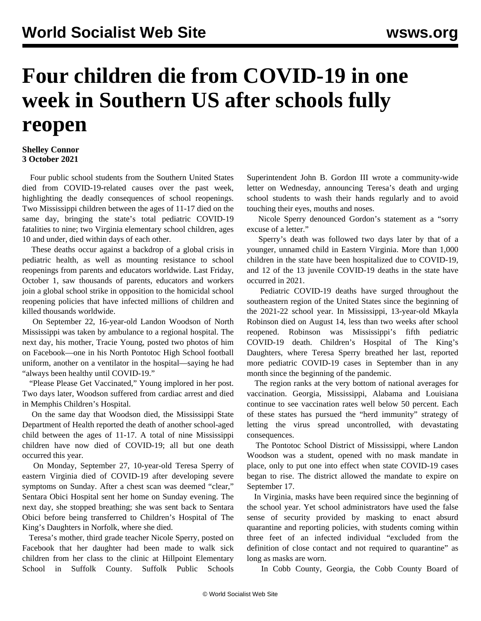## **Four children die from COVID-19 in one week in Southern US after schools fully reopen**

## **Shelley Connor 3 October 2021**

 Four public school students from the Southern United States died from COVID-19-related causes over the past week, highlighting the deadly consequences of school reopenings. Two Mississippi children between the ages of 11-17 died on the same day, bringing the state's total pediatric COVID-19 fatalities to nine; two Virginia elementary school children, ages 10 and under, died within days of each other.

 These deaths occur against a backdrop of a global crisis in pediatric health, as well as mounting resistance to school reopenings from parents and educators worldwide. Last Friday, October 1, saw thousands of parents, educators and workers [join a global school strike](/en/articles/2021/10/02/octo-o02.html) in opposition to the homicidal school reopening policies that have infected millions of children and killed thousands worldwide.

 On September 22, 16-year-old Landon Woodson of North Mississippi was taken by ambulance to a regional hospital. The next day, his mother, Tracie Young, posted two photos of him on Facebook—one in his North Pontotoc High School football uniform, another on a ventilator in the hospital—saying he had "always been healthy until COVID-19."

 "Please Please Get Vaccinated," Young implored in her post. Two days later, Woodson suffered from cardiac arrest and died in Memphis Children's Hospital.

 On the same day that Woodson died, the Mississippi State Department of Health reported the death of another school-aged child between the ages of 11-17. A total of nine Mississippi children have now died of COVID-19; all but one death occurred this year.

 On Monday, September 27, 10-year-old Teresa Sperry of eastern Virginia died of COVID-19 after developing severe symptoms on Sunday. After a chest scan was deemed "clear," Sentara Obici Hospital sent her home on Sunday evening. The next day, she stopped breathing; she was sent back to Sentara Obici before being transferred to Children's Hospital of The King's Daughters in Norfolk, where she died.

 Teresa's mother, third grade teacher Nicole Sperry, posted on Facebook that her daughter had been made to walk sick children from her class to the clinic at Hillpoint Elementary School in Suffolk County. Suffolk Public Schools Superintendent John B. Gordon III wrote a community-wide letter on Wednesday, announcing Teresa's death and urging school students to wash their hands regularly and to avoid touching their eyes, mouths and noses.

 Nicole Sperry denounced Gordon's statement as a "sorry excuse of a letter."

 Sperry's death was followed two days later by that of a younger, unnamed child in Eastern Virginia. More than 1,000 children in the state have been hospitalized due to COVID-19, and 12 of the 13 juvenile COVID-19 deaths in the state have occurred in 2021.

 Pediatric COVID-19 deaths have surged throughout the southeastern region of the United States since the beginning of the 2021-22 school year. In Mississippi, 13-year-old Mkayla Robinson died on August 14, less than two weeks after school reopened. Robinson was Mississippi's fifth pediatric COVID-19 death. Children's Hospital of The King's Daughters, where Teresa Sperry breathed her last, reported more pediatric COVID-19 cases in September than in any month since the beginning of the pandemic.

 The region ranks at the very bottom of national averages for vaccination. Georgia, Mississippi, Alabama and Louisiana continue to see vaccination rates well below 50 percent. Each of these states has pursued the "herd immunity" strategy of letting the virus spread uncontrolled, with devastating consequences.

 The Pontotoc School District of Mississippi, where Landon Woodson was a student, opened with no mask mandate in place, only to put one into effect when state COVID-19 cases began to rise. The district allowed the mandate to expire on September 17.

 In Virginia, masks have been required since the beginning of the school year. Yet school administrators have used the false sense of security provided by masking to enact absurd quarantine and reporting policies, with students coming within three feet of an infected individual "excluded from the definition of close contact and not required to quarantine" as long as masks are worn.

In Cobb County, Georgia, the Cobb County Board of